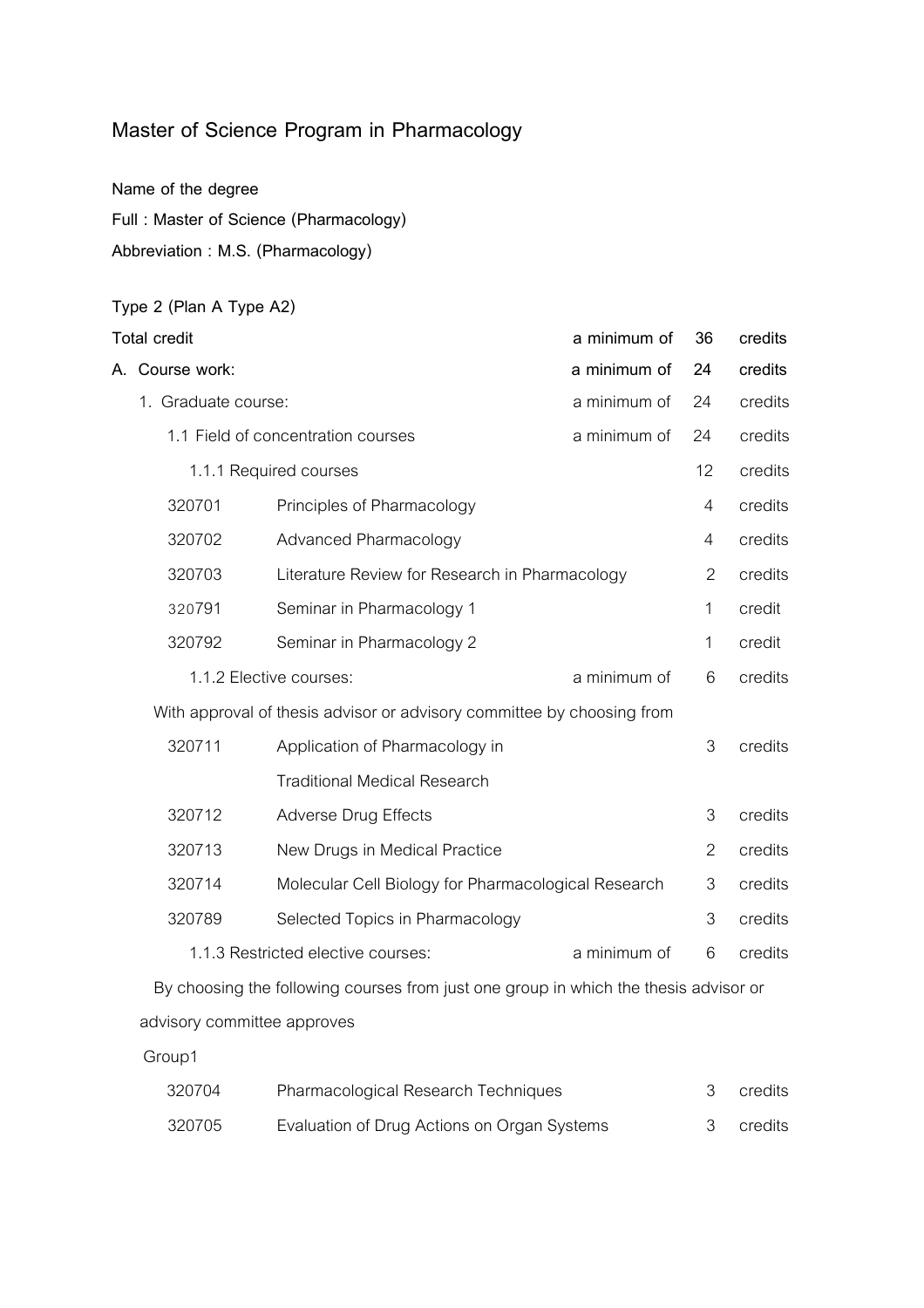### **Master of Science Program in Pharmacology**

**Name of the degree**

**Full : Master of Science (Pharmacology)** 

**Abbreviation : M.S. (Pharmacology)**

# **Type 2 (Plan A Type A2) Total credit a minimum of 36 credits A. Course work: a minimum of 24 credits** 1. Graduate course: a minimum of 24 credits 1.1 Field of concentration courses a minimum of 24 credits 1.1.1 Required courses 12 credits 12 credits 320701 Principles of Pharmacology **Accept 12011** Principles of Pharmacology 320702 Advanced Pharmacology 4 credits 320703 Literature Review for Research in Pharmacology 2 credits 320791 Seminar in Pharmacology 1 1 credit 320792 Seminar in Pharmacology 2 1 credit 1.1.2 Elective courses: a minimum of 6 credits With approval of thesis advisor or advisory committee by choosing from 320711 Application of Pharmacology in 3 credits Traditional Medical Research 320712 Adverse Drug Effects 3 credits 320713 New Drugs in Medical Practice 2 credits 320714 Molecular Cell Biology for Pharmacological Research 3 credits 320789 Selected Topics in Pharmacology 3 3 credits 1.1.3 Restricted elective courses: a minimum of 6 credits

By choosing the following courses from just one group in which the thesis advisor or advisory committee approves

Group1

| 320704 | Pharmacological Research Techniques         | credits |
|--------|---------------------------------------------|---------|
| 320705 | Evaluation of Drug Actions on Organ Systems | credits |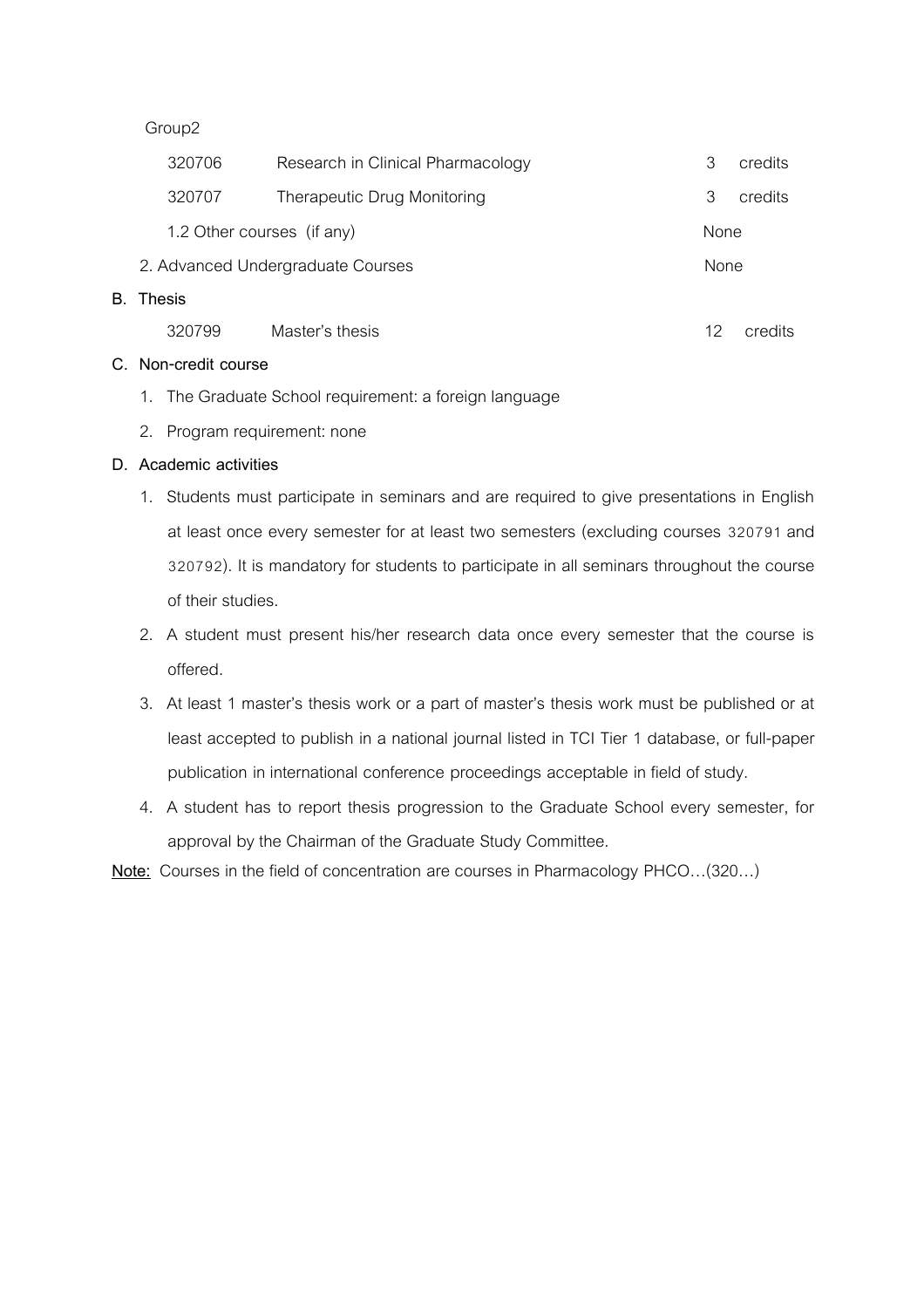Group2

| 320706                     | Research in Clinical Pharmacology |      | credits |
|----------------------------|-----------------------------------|------|---------|
| 320707                     | Therapeutic Drug Monitoring       | З    | credits |
| 1.2 Other courses (if any) |                                   |      |         |
|                            | 2. Advanced Undergraduate Courses | None |         |
| B. Thesis                  |                                   |      |         |
|                            |                                   |      |         |

| 320799 | Master's thesis | credits |
|--------|-----------------|---------|
|        |                 |         |

#### **C. Non-credit course**

- 1. The Graduate School requirement: a foreign language
- 2. Program requirement: none

### **D. Academic activities**

- 1. Students must participate in seminars and are required to give presentations in English at least once every semester for at least two semesters (excluding courses 320791 and 320792). It is mandatory for students to participate in all seminars throughout the course of their studies.
- 2. A student must present his/her research data once every semester that the course is offered.
- 3. At least 1 master's thesis work or a part of master's thesis work must be published or at least accepted to publish in a national journal listed in TCI Tier 1 database, or full-paper publication in international conference proceedings acceptable in field of study.
- 4. A student has to report thesis progression to the Graduate School every semester, for approval by the Chairman of the Graduate Study Committee.

**Note:** Courses in the field of concentration are courses in Pharmacology PHCO…(320…)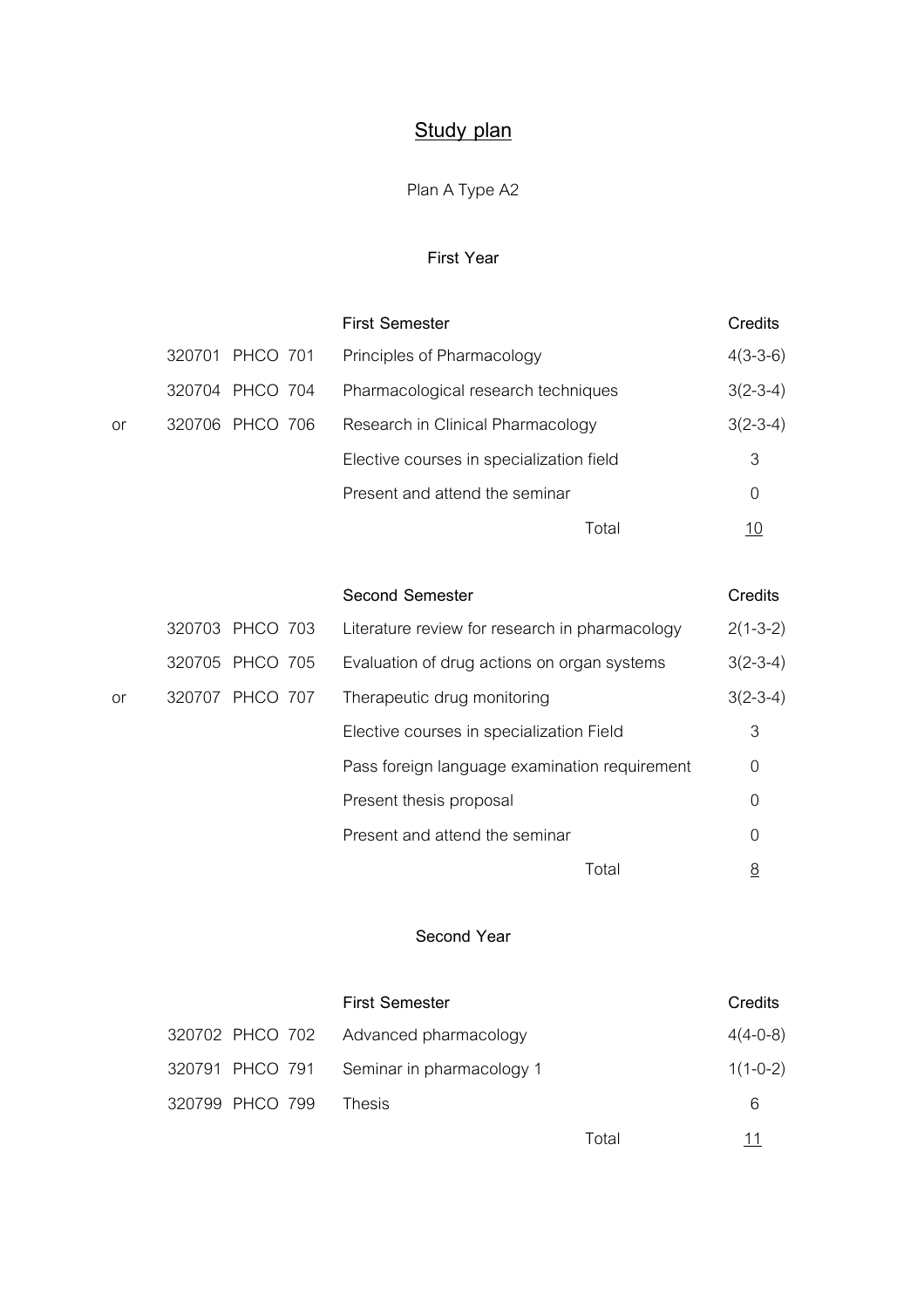# **Study plan**

## Plan A Type A2

### **First Year**

|    |        |                 | <b>First Semester</b>                    | Credits    |
|----|--------|-----------------|------------------------------------------|------------|
|    |        | 320701 PHCO 701 | Principles of Pharmacology               | $4(3-3-6)$ |
|    |        | 320704 PHCO 704 | Pharmacological research techniques      | $3(2-3-4)$ |
| or | 320706 | PHCO 706        | Research in Clinical Pharmacology        | $3(2-3-4)$ |
|    |        |                 | Elective courses in specialization field | 3          |
|    |        |                 | Present and attend the seminar           | 0          |
|    |        |                 | Total                                    | <u> 10</u> |
|    |        |                 |                                          |            |

|    |                 |          | <b>Second Semester</b>                         | Credits    |
|----|-----------------|----------|------------------------------------------------|------------|
|    | 320703 PHCO 703 |          | Literature review for research in pharmacology | $2(1-3-2)$ |
|    | 320705 PHCO 705 |          | Evaluation of drug actions on organ systems    | $3(2-3-4)$ |
| or | 320707          | PHCO 707 | Therapeutic drug monitoring                    | $3(2-3-4)$ |
|    |                 |          | Elective courses in specialization Field       | 3          |
|    |                 |          | Pass foreign language examination requirement  | 0          |
|    |                 |          | Present thesis proposal                        | 0          |
|    |                 |          | Present and attend the seminar                 | 0          |
|    |                 |          | Total                                          | <u>8</u>   |

### **Second Year**

|                 | <b>First Semester</b>                     |       | Credits    |
|-----------------|-------------------------------------------|-------|------------|
|                 | 320702 PHCO 702 Advanced pharmacology     |       | $4(4-0-8)$ |
|                 | 320791 PHCO 791 Seminar in pharmacology 1 |       | $1(1-0-2)$ |
| 320799 PHCO 799 | Thesis                                    |       | 6          |
|                 |                                           | Total | 11         |